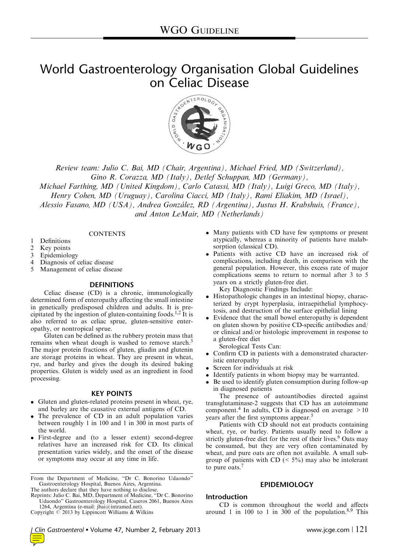# World Gastroenterology Organisation Global Guidelines



Review team: Julio C. Bai, MD (Chair, Argentina), Michael Fried, MD (Switzerland), Gino R. Corazza, MD (Italy), Detlef Schuppan, MD (Germany), Michael Farthing, MD (United Kingdom), Carlo Catassi, MD (Italy), Luigi Greco, MD (Italy), Henry Cohen, MD (Uruguay), Carolina Ciacci, MD (Italy), Rami Eliakim, MD (Israel), Alessio Fasano, MD (USA), Andrea González, RD (Argentina), Justus H. Krabshuis, (France),

and Anton LeMair, MD (Netherlands)

**CONTENTS** 

- 1 Definitions
- 2 Key points
- 3 Epidemiology
- 4 Diagnosis of celiac disease<br>5 Management of celiac dise
- Management of celiac disease

#### **DEFINITIONS**

Celiac disease (CD) is a chronic, immunologically determined form of enteropathy affecting the small intestine in genetically predisposed children and adults. It is pre-cipitated by the ingestion of gluten-containing foods.<sup>[1,2](#page-4-0)</sup> It is also referred to as celiac sprue, gluten-sensitive enteropathy, or nontropical sprue.

Gluten can be defined as the rubbery protein mass that remains when wheat dough is washed to remove starch.<sup>[3](#page-4-0)</sup> The major protein fractions of gluten, gliadin and glutenin are storage proteins in wheat. They are present in wheat, rye, and barley and gives the dough its desired baking properties. Gluten is widely used as an ingredient in food processing.

#### KEY POINTS

- Gluten and gluten-related proteins present in wheat, rye, and barley are the causative external antigens of CD.
- $\bullet$  The prevalence of CD in an adult population varies between roughly 1 in 100 and 1 in 300 in most parts of the world.
- First-degree and (to a lesser extent) second-degree relatives have an increased risk for CD. Its clinical presentation varies widely, and the onset of the disease or symptoms may occur at any time in life.
- Many patients with CD have few symptoms or present atypically, whereas a minority of patients have malabsorption (classical CD).
- Patients with active CD have an increased risk of complications, including death, in comparison with the general population. However, this excess rate of major complications seems to return to normal after 3 to 5 years on a strictly gluten-free diet. Key Diagnostic Findings Include:
- Histopathologic changes in an intestinal biopsy, characterized by crypt hyperplasia, intraepithelial lymphocytosis, and destruction of the surface epithelial lining
- Evidence that the small bowel enteropathy is dependent on gluten shown by positive CD-specific antibodies and/ or clinical and/or histologic improvement in response to a gluten-free diet

Serological Tests Can:

- Confirm CD in patients with a demonstrated characteristic enteropathy
- $\bullet$ Screen for individuals at risk
- Identify patients in whom biopsy may be warranted.
- $\bullet$  Be used to identify gluten consumption during follow-up in diagnosed patients

The presence of autoantibodies directed against transglutaminase-2 suggests that CD has an autoimmune component.<sup>[4](#page-4-0)</sup> In adults, CD is diagnosed on average  $>10$ years after the first symptoms appear.<sup>[5](#page-4-0)</sup>

Patients with CD should not eat products containing wheat, rye, or barley. Patients usually need to follow a strictly gluten-free diet for the rest of their lives.<sup>[6](#page-4-0)</sup> Oats may be consumed, but they are very often contaminated by wheat, and pure oats are often not available. A small subgroup of patients with  $CD$  (< 5%) may also be intolerant to pure oats. $<sup>7</sup>$  $<sup>7</sup>$  $<sup>7</sup>$ </sup>

#### EPIDEMIOLOGY

#### Introduction

CD is common throughout the world and affects around 1 in 100 to 1 in 300 of the population. $8.9$  This

From the Department of Medicine, "Dr C. Bonorino Udaondo" Gastroenterology Hospital, Buenos Aires, Argentina. The authors declare that they have nothing to disclose.

Reprints: Julio C. Bai, MD, Department of Medicine, "Dr C. Bonorino Udaondo" Gastroenterology Hospital, Caseros 2061, Buenos Aires 1264, Argentina (e-mail: [jbai@intramed.net\)](mailto:jbai@intramed.net).

Copyright  $\odot$  2013 by Lippincott Williams & Wilkins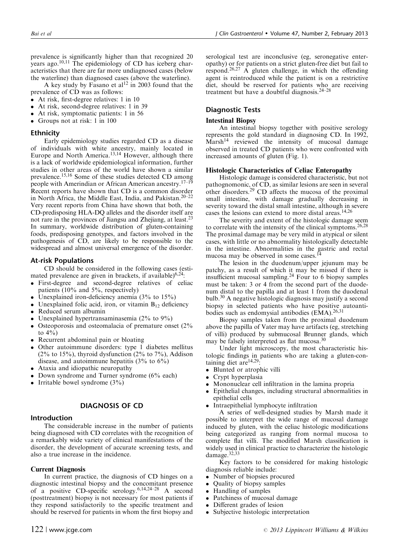prevalence is significantly higher than that recognized 20 years ago.<sup>[10,11](#page-4-0)</sup> The epidemiology of CD has iceberg characteristics that there are far more undiagnosed cases (below the waterline) than diagnosed cases (above the waterline).

A key study by Fasano et al<sup>[12](#page-4-0)</sup> in 2003 found that the prevalence of CD was as follows:

- At risk, first-degree relatives: 1 in 10
- $\bullet$ At risk, second-degree relatives: 1 in 39
- $\bullet$ At risk, symptomatic patients: 1 in 56
- $\bullet$ Groups not at risk: 1 in 100

#### Ethnicity

Early epidemiology studies regarded CD as a disease of individuals with white ancestry, mainly located in Europe and North America.<sup>[13,14](#page-4-0)</sup> However, although there is a lack of worldwide epidemiological information, further studies in other areas of the world have shown a similar prevalence.<sup>[15,16](#page-4-0)</sup> Some of these studies detected CD among people with Amerindian or African American ancestry.<sup>[17–19](#page-4-0)</sup> Recent reports have shown that CD is a common disorder in North Africa, the Middle East, India, and Pakistan.[20–22](#page-4-0) Very recent reports from China have shown that both, the CD-predisposing HLA-DQ alleles and the disorder itself are not rare in the provinces of Jiangsu and Zhejiang, at least.<sup>23</sup> In summary, worldwide distribution of gluten-containing foods, predisposing genotypes, and factors involved in the pathogenesis of CD, are likely to be responsible to the widespread and almost universal emergence of the disorder.

#### At-risk Populations

CD should be considered in the following cases (estimated prevalence are given in brackets, if available) $6,24$ :

- $\bullet$  First-degree and second-degree relatives of celiac patients (10% and 5%, respectively)
- $\bullet$ Unexplained iron-deficiency anemia (3% to 15%)
- $\bullet$ Unexplained folic acid, iron, or vitamin  $B_{12}$  deficiency
- $\bullet$ Reduced serum albumin
- $\bullet$ Unexplained hypertransaminasemia (2% to 9%)
- $\bullet$  Osteoporosis and osteomalacia of premature onset (2% to  $4\%$ )
- Recurrent abdominal pain or bloating
- $\bullet$  Other autoimmune disorders: type 1 diabetes mellitus  $(2\% \text{ to } 15\%)$ , thyroid dysfunction  $(2\% \text{ to } 7\%)$ , Addison disease, and autoimmune hepatitis  $(3\%$  to  $6\%)$
- $\bullet$ Ataxia and idiopathic neuropathy
- $\bullet$ Down syndrome and Turner syndrome (6% each)
- $\bullet$ Irritable bowel syndrome (3%)

### DIAGNOSIS OF CD

#### Introduction

The considerable increase in the number of patients being diagnosed with CD correlates with the recognition of a remarkably wide variety of clinical manifestations of the disorder, the development of accurate screening tests, and also a true increase in the incidence.

#### Current Diagnosis

In current practice, the diagnosis of CD hinges on a diagnostic intestinal biopsy and the concomitant presence of a positive CD-specific serology.<sup>6,14,24-28</sup> A second (posttreatment) biopsy is not necessary for most patients if they respond satisfactorily to the specific treatment and should be reserved for patients in whom the first biopsy and

serological test are inconclusive (eg, seronegative enteropathy) or for patients on a strict gluten-free diet but fail to respond.[26,27](#page-5-0) A gluten challenge, in which the offending agent is reintroduced while the patient is on a restrictive diet, should be reserved for patients who are receiving treatment but have a doubtful diagnosis. $24-28$ 

#### Diagnostic Tests

#### Intestinal Biopsy

An intestinal biopsy together with positive serology represents the gold standard in diagnosing CD. In 1992,  $Marsh<sup>14</sup>$  $Marsh<sup>14</sup>$  $Marsh<sup>14</sup>$  reviewed the intensity of mucosal damage observed in treated CD patients who were confronted with increased amounts of gluten [\(Fig. 1\)](#page-2-0).

#### Histologic Characteristics of Celiac Enteropathy

Histologic damage is considered characteristic, but not pathognomonic, of CD, as similar lesions are seen in several other disorders.<sup>[29](#page-5-0)</sup> CD affects the mucosa of the proximal small intestine, with damage gradually decreasing in severity toward the distal small intestine, although in severe cases the lesions can extend to more distal areas.<sup>[14,26](#page-4-0)</sup>

The severity and extent of the histologic damage seem to correlate with the intensity of the clinical symptoms.<sup>[26,28](#page-5-0)</sup> The proximal damage may be very mild in atypical or silent cases, with little or no abnormality histologically detectable in the intestine. Abnormalities in the gastric and rectal mucosa may be observed in some cases.

The lesion in the duodenum/upper jejunum may be patchy, as a result of which it may be missed if there is insufficient mucosal sampling.[24](#page-4-0) Four to 6 biopsy samples must be taken: 3 or 4 from the second part of the duodenum distal to the papilla and at least 1 from the duodenal bulb.[30](#page-5-0) A negative histologic diagnosis may justify a second biopsy in selected patients who have positive autoanti-bodies such as endomysial antibodies (EMA).<sup>[26,31](#page-5-0)</sup>

Biopsy samples taken from the proximal duodenum above the papilla of Vater may have artifacts (eg, stretching of villi) produced by submucosal Brunner glands, which may be falsely interpreted as flat mucosa[.30](#page-5-0)

Under light microscopy, the most characteristic histologic findings in patients who are taking a gluten-con-taining diet are<sup>[14,29](#page-4-0)</sup>:

- Blunted or atrophic villi
- Crypt hyperplasia
- $\bullet$ Mononuclear cell infiltration in the lamina propria
- $\bullet$  Epithelial changes, including structural abnormalities in epithelial cells
- $\bullet$ Intraepithelial lymphocyte infiltration

A series of well-designed studies by Marsh made it possible to interpret the wide range of mucosal damage induced by gluten, with the celiac histologic modifications being categorized as ranging from normal mucosa to complete flat villi. The modified Marsh classification is widely used in clinical practice to characterize the histologic damage.[32,33](#page-5-0)

Key factors to be considered for making histologic diagnosis reliable include:

- Number of biopsies procured
- Quality of biopsy samples
- Handling of samples
- Patchiness of mucosal damage
- Different grades of lesion
- Subjective histologic interpretation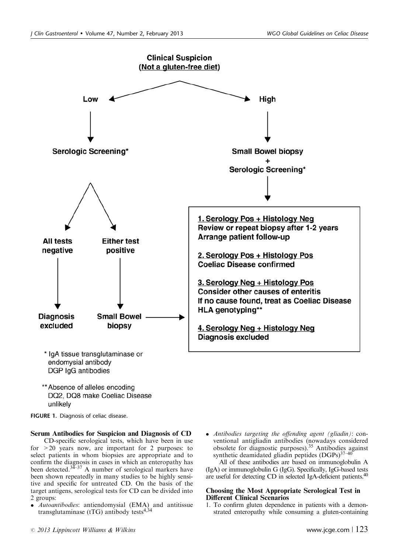<span id="page-2-0"></span>

\*\* Absence of alleles encoding DQ2, DQ8 make Coeliac Disease unlikely

FIGURE 1. Diagnosis of celiac disease.

## Serum Antibodies for Suspicion and Diagnosis of CD

CD-specific serological tests, which have been in use for  $>20$  years now, are important for 2 purposes: to select patients in whom biopsies are appropriate and to confirm the diagnosis in cases in which an enteropathy has been detected. $34-37$  A number of serological markers have been shown repeatedly in many studies to be highly sensitive and specific for untreated CD. On the basis of the target antigens, serological tests for CD can be divided into 2 groups:

- *Autoantibodies*: antiendomysial (EMA) and antitissue transglutaminase (tTG) antibody tests $4,34$
- Antibodies targeting the offending agent (gliadin): conventional antigliadin antibodies (nowadays considered obsolete for diagnostic purposes).[35](#page-5-0) Antibodies against synthetic deamidated gliadin peptides  $(DGPs)^{37-40}$

All of these antibodies are based on immunoglobulin A (IgA) or immunoglobulin G (IgG). Specifically, IgG-based tests are useful for detecting CD in selected IgA-deficient patients.<sup>[40](#page-5-0)</sup>

#### Choosing the Most Appropriate Serological Test in Different Clinical Scenarios

1. To confirm gluten dependence in patients with a demonstrated enteropathy while consuming a gluten-containing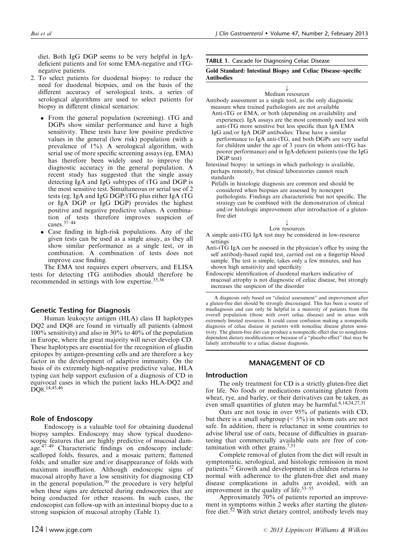diet. Both IgG DGP seems to be very helpful in IgAdeficient patients and for some EMA-negative and tTGnegative patients.

- 2. To select patients for duodenal biopsy: to reduce the need for duodenal biopsies, and on the basis of the different accuracy of serological tests, a series of serological algorithms are used to select patients for biopsy in different clinical scenarios:
	- $\bullet$  From the general population (screening). tTG and DGPs show similar performance and have a high sensitivity. These tests have low positive predictive values in the general (low risk) population (with a prevalence of 1%). A serological algorithm, with serial use of more specific screening assays (eg, EMA) has therefore been widely used to improve the diagnostic accuracy in the general population. A recent study has suggested that the single assay detecting IgA and IgG subtypes of tTG and DGP is the most sensitive test. Simultaneous or serial use of 2 tests (eg, IgA and IgG DGP/tTG plus either IgA tTG or IgA DGP or IgG DGP) provides the highest positive and negative predictive values. A combination of tests therefore improves suspicion of cases.[37–44](#page-5-0)
	- $\bullet$  Case finding in high-risk populations. Any of the given tests can be used as a single assay, as they all show similar performance as a single test, or in combination. A combination of tests does not improve case finding.

The EMA test requires expert observers, and ELISA tests for detecting tTG antibodies should therefore be recommended in settings with low expertise.[35,36](#page-5-0)

#### Genetic Testing for Diagnosis

Human leukocyte antigen (HLA) class II haplotypes DQ2 and DQ8 are found in virtually all patients (almost 100% sensitivity) and also in 30% to 40% of the population in Europe, where the great majority will never develop CD. These haplotypes are essential for the recognition of gliadin epitopes by antigen-presenting cells and are therefore a key factor in the development of adaptive immunity. On the basis of its extremely high-negative predictive value, HLA typing can help support exclusion of a diagnosis of CD in equivocal cases in which the patient lacks HLA-DQ2 and DQ8.<sup>[14,45,46](#page-4-0)</sup>

#### Role of Endoscopy

Endoscopy is a valuable tool for obtaining duodenal biopsy samples. Endoscopy may show typical duodenoscopic features that are highly predictive of mucosal damage.[47–49](#page-5-0) Characteristic findings on endoscopy include: scalloped folds, fissures, and a mosaic pattern; flattened folds; and smaller size and/or disappearance of folds with maximum insufflation. Although endoscopic signs of mucosal atrophy have a low sensitivity for diagnosing CD in the general population, $50$  the procedure is very helpful when these signs are detected during endoscopies that are being conducted for other reasons. In such cases, the endoscopist can follow-up with an intestinal biopsy due to a strong suspicion of mucosal atrophy (Table 1).

TABLE 1. Cascade for Diagnosing Celiac Disease

#### Gold Standard: Intestinal Biopsy and Celiac Disease–specific Antibodies

#### k Medium resources

Antibody assessment as a single tool, as the only diagnostic measure when trained pathologists are not available

- Anti-tTG or EMA, or both (depending on availability and experience). IgA assays are the most commonly used test with anti-tTG more sensitive but less specific than IgA EMA
- IgG and/or IgA DGP antibodies: These have a similar performance to IgA anti-tTG, and both DGPs are very useful for children under the age of 3 years (in whom anti-tTG has poorer performance) and in IgA-deficient patients (use the IgG DGP test)
- Intestinal biopsy: in settings in which pathology is available, perhaps remotely, but clinical laboratories cannot reach standards
- Pitfalls in histologic diagnosis are common and should be considered when biopsies are assessed by nonexpert pathologists. Findings are characteristic but not specific. The strategy can be combined with the demonstration of clinical and/or histologic improvement after introduction of a glutenfree diet

#### $\downarrow$ Low resources

- A simple anti-tTG IgA test may be considered in low-resource settings
- Anti-tTG IgA can be assessed in the physician's office by using the self antibody-based rapid test, carried out on a fingertip blood sample. The test is simple, takes only a few minutes, and has shown high sensitivity and specificity
- Endoscopic identification of duodenal markers indicative of mucosal atrophy is not diagnostic of celiac disease, but strongly increases the suspicion of the disorder

A diagnosis only based on "clinical assessment" and improvement after a gluten-free diet should be strongly discouraged. This has been a source of misdiagnosis and can only be helpful in a minority of patients from the overall population (those with overt celiac disease) and in areas with extremely limited resources. It could cause confusion making a nonspecific diagnosis of celiac disease in patients with nonceliac disease gluten sensitivity. The gluten-free diet can produce a nonspecific effect due to nonglutendependent dietary modifications or because of a "placebo effect" that may be falsely attributable to a celiac disease diagnosis.

#### MANAGEMENT OF CD

#### Introduction

The only treatment for CD is a strictly gluten-free diet for life. No foods or medications containing gluten from wheat, rye, and barley, or their derivatives can be taken, as even small quantities of gluten may be harmful.<sup>[6,14,24,27,31](#page-4-0)</sup>

Oats are not toxic in over 95% of patients with CD, but there is a small subgroup ( $\leq 5\%$ ) in whom oats are not safe. In addition, there is reluctance in some countries to advise liberal use of oats, because of difficulties in guaranteeing that commercially available oats are free of con-tamination with other grains.<sup>[7,51](#page-4-0)</sup>

Complete removal of gluten from the diet will result in symptomatic, serological, and histologic remission in most patients.<sup>[52](#page-5-0)</sup> Growth and development in children returns to normal with adherence to the gluten-free diet and many disease complications in adults are avoided, with an improvement in the quality of life. $53-55$ 

Approximately 70% of patients reported an improvement in symptoms within 2 weeks after starting the gluten-free diet.<sup>[52](#page-5-0)</sup> With strict dietary control, antibody levels may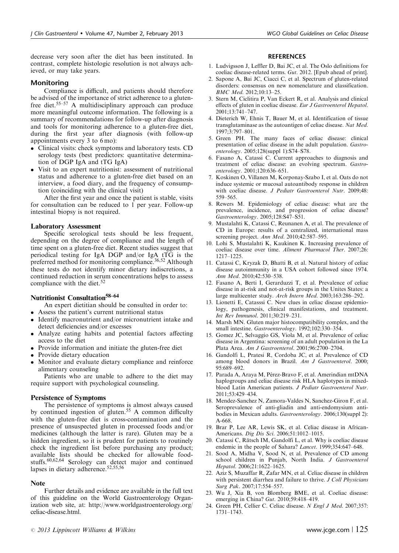<span id="page-4-0"></span>decrease very soon after the diet has been instituted. In contrast, complete histologic resolution is not always achieved, or may take years.

#### Monitoring

Compliance is difficult, and patients should therefore be advised of the importance of strict adherence to a glutenfree diet.[55–57](#page-5-0) A multidisciplinary approach can produce more meaningful outcome information. The following is a summary of recommendations for follow-up after diagnosis and tools for monitoring adherence to a gluten-free diet, during the first year after diagnosis (with follow-up appointments every 3 to 6 mo):

- Clinical visits: check symptoms and laboratory tests. CD serology tests (best predictors: quantitative determination of DGP IgA and tTG IgA)
- $\bullet$  Visit to an expert nutritionist: assessment of nutritional status and adherence to a gluten-free diet based on an interview, a food diary, and the frequency of consumption (coinciding with the clinical visit)

After the first year and once the patient is stable, visits for consultation can be reduced to 1 per year. Follow-up intestinal biopsy is not required.

#### Laboratory Assessment

Specific serological tests should be less frequent, depending on the degree of compliance and the length of time spent on a gluten-free diet. Recent studies suggest that periodical testing for IgA DGP and/or IgA tTG is the preferred method for monitoring compliance.<sup>[36,52](#page-5-0)</sup> Although these tests do not identify minor dietary indiscretions, a continued reduction in serum concentrations helps to assess compliance with the diet. $52$ 

# Nutritionist Consultation[58–64](#page-5-0)

An expert dietitian should be consulted in order to:

- $\bullet$ Assess the patient's current nutritional status
- $\bullet$  Identify macronutrient and/or micronutrient intake and detect deficiencies and/or excesses
- $\bullet$  Analyze eating habits and potential factors affecting access to the diet
- $\bullet$ Provide information and initiate the gluten-free diet
- Provide dietary education
- $\bullet$  Monitor and evaluate dietary compliance and reinforce alimentary counseling

Patients who are unable to adhere to the diet may require support with psychological counseling.

#### Persistence of Symptoms

The persistence of symptoms is almost always caused by continued ingestion of gluten.<sup>[55](#page-5-0)</sup> A common difficulty with the gluten-free diet is cross-contamination and the presence of unsuspected gluten in processed foods and/or medicines (although the latter is rare). Gluten may be a hidden ingredient, so it is prudent for patients to routinely check the ingredient list before purchasing any product; available lists should be checked for allowable foodstuffs.[60,62,64](#page-5-0) Serology can detect major and continued lapses in dietary adherence.<sup>52,55,56</sup>

#### Note

Further details and evidence are available in the full text of this guideline on the World Gastroenterology Organization web site, at: [http://www.worldgastroenterology.org/](http://www.worldgastroenterology.org/celiac-disease.html) [celiac-disease.html](http://www.worldgastroenterology.org/celiac-disease.html).

#### **REFERENCES**

- 1. Ludvigsson J, Leffler D, Bai JC, et al. The Oslo definitions for coeliac disease-related terms. Gut. 2012. [Epub ahead of print].
- 2. Sapone A, Bai JC, Ciacci C, et al. Spectrum of gluten-related disorders: consensus on new nomenclature and classification. BMC Med. 2012;10:13–25.
- 3. Stern M, Ciclitira P, Van Eckert R, et al. Analysis and clinical effects of gluten in coeliac disease. Eur J Gastroenterol Hepatol. 2001;13:741–747.
- 4. Dieterich W, Ehnis T, Bauer M, et al. Identification of tissue transglutaminase as the autoantigen of celiac disease. Nat Med. 1997;3:797–801.
- 5. Green PH. The many faces of celiac disease: clinical presentation of celiac disease in the adult population. Gastroenterology. 2005;128(suppl 1):S74–S78.
- 6. Fasano A, Catassi C. Current approaches to diagnosis and treatment of celiac disease: an evolving spectrum. Gastroenterology. 2001;120:636–651.
- 7. Koskinen O, Villanen M, Korponay-Szabo I, et al. Oats do not induce systemic or mucosal autoantibody response in children with coeliac disease. J Pediatr Gastroenterol Nutr. 2009;48: 559–565.
- 8. Rewers M. Epidemiology of celiac disease: what are the prevalence, incidence, and progression of celiac disease? Gastroenterology. 2005;128:S47–S51.
- 9. Mustalahti K, Catassi C, Reunanen A, et al. The prevalence of CD in Europe: results of a centralized, international mass screening project. Ann Med. 2010;42:587-595.
- 10. Lohi S, Mustalahti K, Kaukinen K. Increasing prevalence of coeliac disease over time. Aliment Pharmacol Ther. 2007;26: 1217–1225.
- 11. Catassi C, Kryzak D, Bhatti B, et al. Natural history of celiac disease autoimmunity in a USA cohort followed since 1974. Ann Med. 2010;42:530–538.
- 12. Fasano A, Berti I, Gerarduzzi T, et al. Prevalence of celiac disease in at-risk and not-at-risk groups in the Unites States: a large multicenter study. Arch Intern Med. 2003;163:286–292.
- 13. Lionetti E, Catasssi C. New clues in celiac disease epidemiology, pathogenesis, clinical manifestations, and treatment. Int Rev Immunol. 2011;30:219–231.
- 14. Marsh MN. Gluten major histocompatibility complex, and the small intestine. Gastroenterology. 1992;102:330–354.
- 15. Gomez JC, Selvaggio GS, Viola M, et al. Prevalence of celiac disease in Argentina: screening of an adult population in the La Plata Area. Am J Gastroenterol. 2001;96:2700–2704.
- 16. Gandolfi L, Pratesi R, Cordoba JC, et al. Prevalence of CD among blood donors in Brazil. Am J Gastroenterol. 2000; 95:689–692.
- 17. Parada A, Araya M, Pérez-Bravo F, et al. Amerindian mtDNA haplogroups and celiac disease risk HLA haplotypes in mixedblood Latin American patients. J Pediatr Gastroenterol Nutr. 2011;53:429–434.
- 18. Mendez-Sanchez N, Zamora-Valdes N, Sanchez-Giron F, et al. Seroprevalence of anti-gliadin and anti-endomysium antibodies in Mexican adults. Gastroenterology. 2006;130(suppl 2): A-668.
- 19. Brar P, Lee AR, Lewis SK, et al. Celiac disease in African-Americans. Dig Dis Sci. 2006;51:1012–1015.
- 20. Catassi C, Rätsch IM, Gandolfi L, et al. Why is coeliac disease endemic in the people of Sahara? Lancet. 1999;354:647–648.
- 21. Sood A, Midha V, Sood N, et al. Prevalence of CD among school children in Punjab, North India. J Gastroenterol Hepatol. 2006;21:1622–1625.
- 22. Aziz S, Muzaffar R, Zafar MN, et al. Celiac disease in children with persistent diarrhea and failure to thrive. J Coll Physicians Surg Pak. 2007;17:554-557.
- 23. Wu J, Xia B, von Blomberg BME, et al. Coeliac disease: emerging in China? Gut. 2010;59:418–419.
- 24. Green PH, Cellier C. Celiac disease. N Engl J Med. 2007;357: 1731–1743.